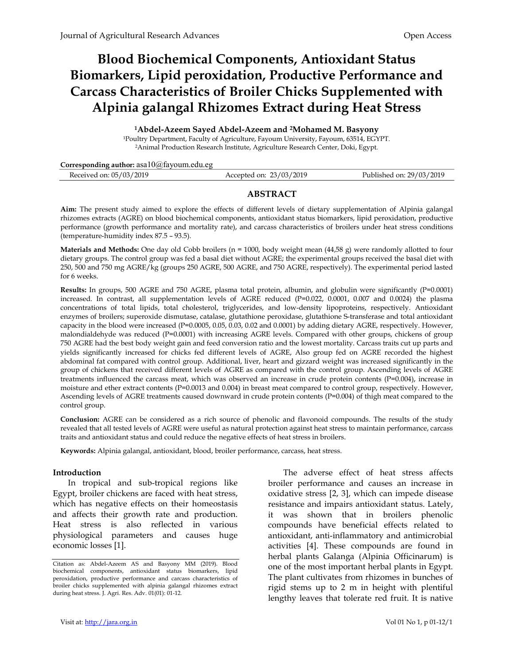# Blood Biochemical Components, Antioxidant Status Biomarkers, Lipid peroxidation, Productive Performance and Carcass Characteristics of Broiler Chicks Supplemented with Alpinia galangal Rhizomes Extract during Heat Stress

<sup>1</sup>Abdel-Azeem Sayed Abdel-Azeem and 2Mohamed M. Basyony

<sup>1</sup>Poultry Department, Faculty of Agriculture, Fayoum University, Fayoum, 63514, EGYPT. <sup>2</sup>Animal Production Research Institute, Agriculture Research Center, Doki, Egypt.

Corresponding author: asa10@fayoum.edu.eg

| Received on: 05/03/2019<br>Accepted on: 23/03/2019 | Published on: 29/03/2019 |
|----------------------------------------------------|--------------------------|
|----------------------------------------------------|--------------------------|

# ABSTRACT

Aim: The present study aimed to explore the effects of different levels of dietary supplementation of Alpinia galangal rhizomes extracts (AGRE) on blood biochemical components, antioxidant status biomarkers, lipid peroxidation, productive performance (growth performance and mortality rate), and carcass characteristics of broilers under heat stress conditions (temperature-humidity index 87.5 – 93.5).

Materials and Methods: One day old Cobb broilers (n = 1000, body weight mean (44,58 g) were randomly allotted to four dietary groups. The control group was fed a basal diet without AGRE; the experimental groups received the basal diet with 250, 500 and 750 mg AGRE/kg (groups 250 AGRE, 500 AGRE, and 750 AGRE, respectively). The experimental period lasted for 6 weeks.

Results: In groups, 500 AGRE and 750 AGRE, plasma total protein, albumin, and globulin were significantly (P=0.0001) increased. In contrast, all supplementation levels of AGRE reduced (P=0.022, 0.0001, 0.007 and 0.0024) the plasma concentrations of total lipids, total cholesterol, triglycerides, and low-density lipoproteins, respectively. Antioxidant enzymes of broilers; superoxide dismutase, catalase, glutathione peroxidase, glutathione S-transferase and total antioxidant capacity in the blood were increased (P=0.0005, 0.05, 0.03, 0.02 and 0.0001) by adding dietary AGRE, respectively. However, malondialdehyde was reduced (P=0.0001) with increasing AGRE levels. Compared with other groups, chickens of group 750 AGRE had the best body weight gain and feed conversion ratio and the lowest mortality. Carcass traits cut up parts and yields significantly increased for chicks fed different levels of AGRE, Also group fed on AGRE recorded the highest abdominal fat compared with control group. Additional, liver, heart and gizzard weight was increased significantly in the group of chickens that received different levels of AGRE as compared with the control group. Ascending levels of AGRE treatments influenced the carcass meat, which was observed an increase in crude protein contents (P=0.004), increase in moisture and ether extract contents (P=0.0013 and 0.004) in breast meat compared to control group, respectively. However, Ascending levels of AGRE treatments caused downward in crude protein contents (P=0.004) of thigh meat compared to the control group.

Conclusion: AGRE can be considered as a rich source of phenolic and flavonoid compounds. The results of the study revealed that all tested levels of AGRE were useful as natural protection against heat stress to maintain performance, carcass traits and antioxidant status and could reduce the negative effects of heat stress in broilers.

Keywords: Alpinia galangal, antioxidant, blood, broiler performance, carcass, heat stress.

#### Introduction

In tropical and sub-tropical regions like Egypt, broiler chickens are faced with heat stress, which has negative effects on their homeostasis and affects their growth rate and production. Heat stress is also reflected in various physiological parameters and causes huge economic losses [1].

The adverse effect of heat stress affects broiler performance and causes an increase in oxidative stress [2, 3], which can impede disease resistance and impairs antioxidant status. Lately, it was shown that in broilers phenolic compounds have beneficial effects related to antioxidant, anti-inflammatory and antimicrobial activities [4]. These compounds are found in herbal plants Galanga (Alpinia Officinarum) is one of the most important herbal plants in Egypt. The plant cultivates from rhizomes in bunches of rigid stems up to 2 m in height with plentiful lengthy leaves that tolerate red fruit. It is native

Citation as: Abdel-Azeem AS and Basyony MM (2019). Blood biochemical components, antioxidant status biomarkers, lipid peroxidation, productive performance and carcass characteristics of broiler chicks supplemented with alpinia galangal rhizomes extract during heat stress. J. Agri. Res. Adv. 01(01): 01-12.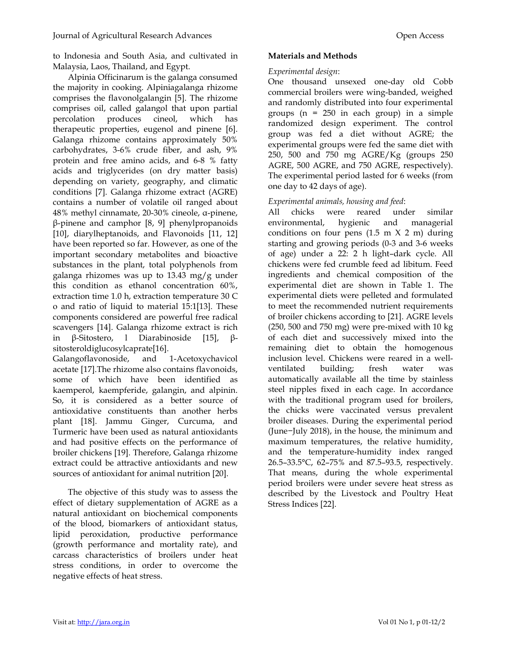to Indonesia and South Asia, and cultivated in Malaysia, Laos, Thailand, and Egypt.

Alpinia Officinarum is the galanga consumed the majority in cooking. Alpiniagalanga rhizome comprises the flavonolgalangin [5]. The rhizome comprises oil, called galangol that upon partial percolation produces cineol, which has therapeutic properties, eugenol and pinene [6]. Galanga rhizome contains approximately 50% carbohydrates, 3-6% crude fiber, and ash, 9% protein and free amino acids, and 6-8 % fatty acids and triglycerides (on dry matter basis) depending on variety, geography, and climatic conditions [7]. Galanga rhizome extract (AGRE) contains a number of volatile oil ranged about 48% methyl cinnamate, 20-30% cineole, α-pinene, β-pinene and camphor [8, 9] phenylpropanoids [10], diarylheptanoids, and Flavonoids [11, 12] have been reported so far. However, as one of the important secondary metabolites and bioactive substances in the plant, total polyphenols from galanga rhizomes was up to 13.43 mg/g under this condition as ethanol concentration 60%, extraction time 1.0 h, extraction temperature 30 C o and ratio of liquid to material 15:1[13]. These components considered are powerful free radical scavengers [14]. Galanga rhizome extract is rich in β-Sitostero, l Diarabinoside [15], βsitosteroldiglucosylcaprate[16].

Galangoflavonoside, and 1-Acetoxychavicol acetate [17].The rhizome also contains flavonoids, some of which have been identified as kaemperol, kaempferide, galangin, and alpinin. So, it is considered as a better source of antioxidative constituents than another herbs plant [18]. Jammu Ginger, Curcuma, and Turmeric have been used as natural antioxidants and had positive effects on the performance of broiler chickens [19]. Therefore, Galanga rhizome extract could be attractive antioxidants and new sources of antioxidant for animal nutrition [20].

The objective of this study was to assess the effect of dietary supplementation of AGRE as a natural antioxidant on biochemical components of the blood, biomarkers of antioxidant status, lipid peroxidation, productive performance (growth performance and mortality rate), and carcass characteristics of broilers under heat stress conditions, in order to overcome the negative effects of heat stress.

# Materials and Methods

## Experimental design:

One thousand unsexed one-day old Cobb commercial broilers were wing-banded, weighed and randomly distributed into four experimental groups (n = 250 in each group) in a simple randomized design experiment. The control group was fed a diet without AGRE; the experimental groups were fed the same diet with 250, 500 and 750 mg AGRE/Kg (groups 250 AGRE, 500 AGRE, and 750 AGRE, respectively). The experimental period lasted for 6 weeks (from one day to 42 days of age).

# Experimental animals, housing and feed:

All chicks were reared under similar environmental, hygienic and managerial conditions on four pens  $(1.5 \text{ m} \times 2 \text{ m})$  during starting and growing periods (0-3 and 3-6 weeks of age) under a 22: 2 h light–dark cycle. All chickens were fed crumble feed ad libitum. Feed ingredients and chemical composition of the experimental diet are shown in Table 1. The experimental diets were pelleted and formulated to meet the recommended nutrient requirements of broiler chickens according to [21]. AGRE levels (250, 500 and 750 mg) were pre-mixed with 10 kg of each diet and successively mixed into the remaining diet to obtain the homogenous inclusion level. Chickens were reared in a wellventilated building; fresh water was automatically available all the time by stainless steel nipples fixed in each cage. In accordance with the traditional program used for broilers, the chicks were vaccinated versus prevalent broiler diseases. During the experimental period (June−July 2018), in the house, the minimum and maximum temperatures, the relative humidity, and the temperature-humidity index ranged 26.5–33.5°C, 62–75% and 87.5–93.5, respectively. That means, during the whole experimental period broilers were under severe heat stress as described by the Livestock and Poultry Heat Stress Indices [22].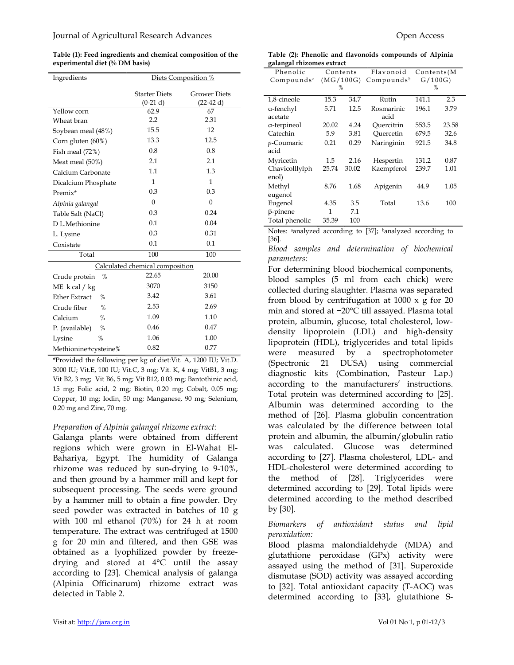Table (1): Feed ingredients and chemical composition of the experimental diet (% DM basis)

| Ingredients                  | Diets Composition %                |                                   |  |  |
|------------------------------|------------------------------------|-----------------------------------|--|--|
|                              | <b>Starter Diets</b><br>$(0-21 d)$ | <b>Grower Diets</b><br>$(22-42d)$ |  |  |
| Yellow corn                  | 62.9                               | 67                                |  |  |
| Wheat bran                   | 2.2                                | 2.31                              |  |  |
| Soybean meal (48%)           | 15.5                               | 12                                |  |  |
| Corn gluten (60%)            | 13.3                               | 12.5                              |  |  |
| Fish meal (72%)              | 0.8                                | 0.8                               |  |  |
| Meat meal (50%)              | 2.1                                | 2.1                               |  |  |
| Calcium Carbonate            | 1.1                                | 1.3                               |  |  |
| Dicalcium Phosphate          | 1                                  | 1                                 |  |  |
| Premix*                      | 0.3                                | 0.3                               |  |  |
| Alpinia galangal             | $\theta$                           | $\theta$                          |  |  |
| Table Salt (NaCl)            | 0.3                                | 0.24                              |  |  |
| D L.Methionine               | 0.1                                | 0.04                              |  |  |
| L. Lysine                    | 0.3                                | 0.31                              |  |  |
| Coxistate                    | 0.1                                | 0.1                               |  |  |
| Total                        | 100                                | 100                               |  |  |
|                              | Calculated chemical composition    |                                   |  |  |
| %<br>Crude protein           | 22.65                              | 20.00                             |  |  |
| ME $k$ cal $/kg$             | 3070                               | 3150                              |  |  |
| <b>Ether Extract</b><br>$\%$ | 3.42                               | 3.61                              |  |  |
| Crude fiber<br>$\%$          | 2.53                               | 2.69                              |  |  |
| Calcium<br>%                 | 1.09                               | 1.10                              |  |  |
| P. (available)<br>%          | 0.46                               | 0.47                              |  |  |
| $\%$<br>Lysine               | 1.06                               | 1.00                              |  |  |
| Methionine+cysteine%         | 0.82                               | 0.77                              |  |  |

\*Provided the following per kg of diet:Vit. A, 1200 IU; Vit.D. 3000 IU; Vit.E, 100 IU; Vit.C, 3 mg; Vit. K, 4 mg; VitB1, 3 mg; Vit B2, 3 mg; Vit B6, 5 mg; Vit B12, 0.03 mg; Bantothinic acid, 15 mg; Folic acid, 2 mg; Biotin, 0.20 mg; Cobalt, 0.05 mg; Copper, 10 mg; Iodin, 50 mg; Manganese, 90 mg; Selenium, 0.20 mg and Zinc, 70 mg.

# Preparation of Alpinia galangal rhizome extract:

Galanga plants were obtained from different regions which were grown in El-Wahat El-Bahariya, Egypt. The humidity of Galanga rhizome was reduced by sun-drying to 9-10%, and then ground by a hammer mill and kept for subsequent processing. The seeds were ground by a hammer mill to obtain a fine powder. Dry seed powder was extracted in batches of 10 g with 100 ml ethanol (70%) for 24 h at room temperature. The extract was centrifuged at 1500 g for 20 min and filtered, and then GSE was obtained as a lyophilized powder by freezedrying and stored at 4°C until the assay according to [23]. Chemical analysis of galanga (Alpinia Officinarum) rhizome extract was detected in Table 2.

Table (2): Phenolic and flavonoids compounds of Alpinia galangal rhizomes extract

| σ.<br>ō                |           |       |                        |            |       |
|------------------------|-----------|-------|------------------------|------------|-------|
| Phenolic               | Contents  |       | Flavonoid              | Contents(M |       |
| Compounds <sup>a</sup> | (MG/100G) |       | Compounds <sup>t</sup> | G/100G     |       |
|                        | %         |       |                        | %          |       |
| 1,8-cineole            | 15.3      | 34.7  | Rutin                  | 141.1      | 2.3   |
| a-fenchyl              | 5.71      | 12.5  | Rosmarinic             | 196.1      | 3.79  |
| acetate                |           |       | acid                   |            |       |
| a-terpineol            | 20.02     | 4.24  | Ouercitrin             | 553.5      | 23.58 |
| Catechin               | 5.9       | 3.81  | Ouercetin              | 679.5      | 32.6  |
| p-Coumaric             | 0.21      | 0.29  | Naringinin             | 921.5      | 34.8  |
| acid                   |           |       |                        |            |       |
| Myricetin              | 1.5       | 2.16  | Hespertin              | 131.2      | 0.87  |
| Chavicolllylph         | 25.74     | 30.02 | Kaempferol             | 239.7      | 1.01  |
| enol)                  |           |       |                        |            |       |
| Methyl                 | 8.76      | 1.68  | Apigenin               | 44.9       | 1.05  |
| eugenol                |           |       |                        |            |       |
| Eugenol                | 4.35      | 3.5   | Total                  | 13.6       | 100   |
| $\beta$ -pinene        | 1         | 7.1   |                        |            |       |
| Total phenolic         | 35.39     | 100   |                        |            |       |

Notes: <sup>a</sup>analyzed according to [37]; <sup>b</sup>analyzed according to [36].

Blood samples and determination of biochemical parameters:

For determining blood biochemical components, blood samples (5 ml from each chick) were collected during slaughter. Plasma was separated from blood by centrifugation at 1000 x g for 20 min and stored at −20°C till assayed. Plasma total protein, albumin, glucose, total cholesterol, lowdensity lipoprotein (LDL) and high-density lipoprotein (HDL), triglycerides and total lipids were measured by a spectrophotometer (Spectronic 21 DUSA) using commercial diagnostic kits (Combination, Pasteur Lap.) according to the manufacturers' instructions. Total protein was determined according to [25]. Albumin was determined according to the method of [26]. Plasma globulin concentration was calculated by the difference between total protein and albumin, the albumin/globulin ratio was calculated. Glucose was determined according to [27]. Plasma cholesterol, LDL- and HDL-cholesterol were determined according to the method of [28]. Triglycerides were determined according to [29]. Total lipids were determined according to the method described by [30].

## Biomarkers of antioxidant status and lipid peroxidation:

Blood plasma malondialdehyde (MDA) and glutathione peroxidase (GPx) activity were assayed using the method of [31]. Superoxide dismutase (SOD) activity was assayed according to [32]. Total antioxidant capacity (T-AOC) was determined according to [33], glutathione S-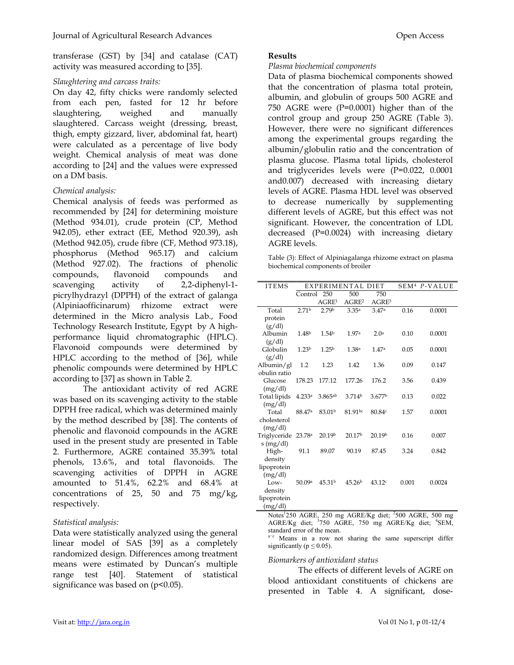transferase (GST) by [34] and catalase (CAT) activity was measured according to [35].

## Slaughtering and carcass traits:

On day 42, fifty chicks were randomly selected from each pen, fasted for 12 hr before slaughtering, weighed and manually slaughtered. Carcass weight (dressing, breast, thigh, empty gizzard, liver, abdominal fat, heart) were calculated as a percentage of live body weight. Chemical analysis of meat was done according to [24] and the values were expressed on a DM basis.

# Chemical analysis:

Chemical analysis of feeds was performed as recommended by [24] for determining moisture (Method 934.01), crude protein (CP, Method 942.05), ether extract (EE, Method 920.39), ash (Method 942.05), crude fibre (CF, Method 973.18), phosphorus (Method 965.17) and calcium (Method 927.02). The fractions of phenolic compounds, flavonoid compounds and scavenging activity of 2,2-diphenyl-1 picrylhydrazyl (DPPH) of the extract of galanga (Alpiniaofficinarum) rhizome extract were determined in the Micro analysis Lab., Food Technology Research Institute, Egypt by A highperformance liquid chromatographic (HPLC). Flavonoid compounds were determined by HPLC according to the method of [36], while phenolic compounds were determined by HPLC according to [37] as shown in Table 2.

The antioxidant activity of red AGRE was based on its scavenging activity to the stable DPPH free radical, which was determined mainly by the method described by [38]. The contents of phenolic and flavonoid compounds in the AGRE used in the present study are presented in Table 2. Furthermore, AGRE contained 35.39% total phenols, 13.6%, and total flavonoids. The scavenging activities of DPPH in AGRE amounted to 51.4%, 62.2% and 68.4% at concentrations of 25, 50 and 75 mg/kg, respectively.

## Statistical analysis:

Data were statistically analyzed using the general linear model of SAS [39] as a completely randomized design. Differences among treatment means were estimated by Duncan's multiple range test [40]. Statement of statistical significance was based on  $(p<0.05)$ .

## Results

#### Plasma biochemical components

Data of plasma biochemical components showed that the concentration of plasma total protein, albumin, and globulin of groups 500 AGRE and 750 AGRE were (P=0.0001) higher than of the control group and group 250 AGRE (Table 3). However, there were no significant differences among the experimental groups regarding the albumin/globulin ratio and the concentration of plasma glucose. Plasma total lipids, cholesterol and triglycerides levels were (P=0.022, 0.0001 and0.007) decreased with increasing dietary levels of AGRE. Plasma HDL level was observed to decrease numerically by supplementing different levels of AGRE, but this effect was not significant. However, the concentration of LDL decreased (P=0.0024) with increasing dietary AGRE levels.

Table (3): Effect of Alpiniagalanga rhizome extract on plasma biochemical components of broiler

| <b>ITEMS</b>                    |                    | EXPERIMENTAL DIET  |                     | SEM <sup>4</sup> P-VALUE |       |        |
|---------------------------------|--------------------|--------------------|---------------------|--------------------------|-------|--------|
|                                 | Control            | 250                | 500                 | 750                      |       |        |
|                                 |                    | AGRE <sup>1</sup>  | AGRE <sup>2</sup>   | AGRE <sup>3</sup>        |       |        |
| Total                           | 2.71 <sup>b</sup>  | 2.79 <sup>b</sup>  | 3.35 <sup>a</sup>   | 3.47a                    | 0.16  | 0.0001 |
| protein                         |                    |                    |                     |                          |       |        |
| (g/dl)                          |                    |                    |                     |                          |       |        |
| Albumin                         | 1.48 <sup>b</sup>  | 1.54 <sup>b</sup>  | 1.97a               | 2.0 <sup>a</sup>         | 0.10  | 0.0001 |
| (g/dl)                          |                    |                    |                     |                          |       |        |
| Globulin                        | 1.23 <sup>b</sup>  | 1.25 <sup>b</sup>  | 1.38 <sup>a</sup>   | 1.47a                    | 0.05  | 0.0001 |
| (g/dl)                          |                    |                    |                     |                          |       |        |
| Albumin/gl                      | 1.2                | 1.23               | 1.42                | 1.36                     | 0.09  | 0.147  |
| obulin ratio                    |                    |                    |                     |                          |       |        |
| Glucose                         | 178.23             | 177.12             | 177.26              | 176.2                    | 3.56  | 0.439  |
| (mg/dl)                         | 4.233a             | 3.865ab            | 3.714 <sup>b</sup>  | 3.677b                   | 0.13  | 0.022  |
| Total lipids<br>(mg/dl)         |                    |                    |                     |                          |       |        |
| Total                           | 88.47 <sup>a</sup> | 83.01 <sup>b</sup> | 81.91 <sup>bc</sup> | 80.84c                   | 1.57  | 0.0001 |
| cholesterol                     |                    |                    |                     |                          |       |        |
| (mg/dl)                         |                    |                    |                     |                          |       |        |
| Triglyceride 23.78 <sup>a</sup> |                    | 20.19b             | 20.17b              | 20.19b                   | 0.16  | 0.007  |
| $s$ (mg/dl)                     |                    |                    |                     |                          |       |        |
| High-                           | 91.1               | 89.07              | 90.19               | 87.45                    | 3.24  | 0.842  |
| density                         |                    |                    |                     |                          |       |        |
| lipoprotein                     |                    |                    |                     |                          |       |        |
| (mg/dl)                         |                    |                    |                     |                          |       |        |
| $Iow-$                          | 50.09a             | 45.31 <sup>b</sup> | 45.26 <sup>b</sup>  | 43.12c                   | 0.001 | 0.0024 |
| density                         |                    |                    |                     |                          |       |        |
| lipoprotein                     |                    |                    |                     |                          |       |        |
| (mg/dl)                         |                    |                    |                     |                          |       |        |

Notes<sup>1</sup>250 AGRE, 250 mg AGRE/Kg diet; <sup>2</sup>500 AGRE, 500 mg AGRE/Kg diet; <sup>3</sup>750 AGRE, 750 mg AGRE/Kg diet; <sup>4</sup>SEM, standard error of the mean.

a<sup>-c</sup> Means in a row not sharing the same superscript differ significantly ( $p \leq 0.05$ ).

## Biomarkers of antioxidant status

The effects of different levels of AGRE on blood antioxidant constituents of chickens are presented in Table 4. A significant, dose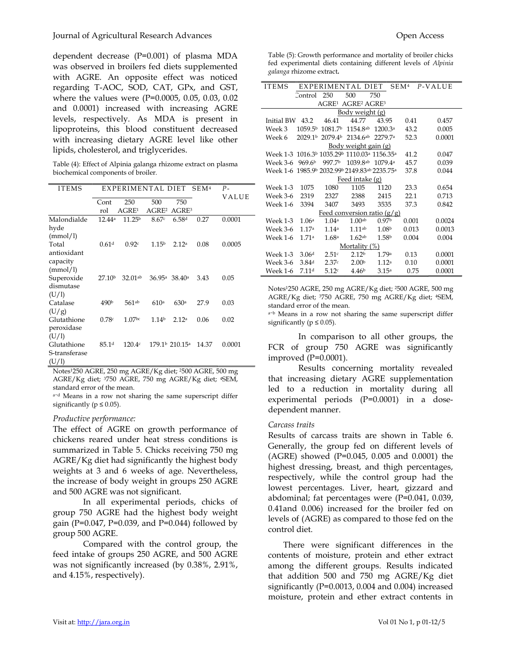dependent decrease (P=0.001) of plasma MDA was observed in broilers fed diets supplemented with AGRE. An opposite effect was noticed regarding T-AOC, SOD, CAT, GPx, and GST, where the values were (P=0.0005, 0.05, 0.03, 0.02 and 0.0001) increased with increasing AGRE levels, respectively. As MDA is present in lipoproteins, this blood constituent decreased with increasing dietary AGRE level like other lipids, cholesterol, and triglycerides.

Table (4): Effect of Alpinia galanga rhizome extract on plasma biochemical components of broiler.

| <b>ITEMS</b>                          | EXPERIMENTAL DIET  |                    |                   |                                        | SEM <sup>4</sup> | $P -$  |
|---------------------------------------|--------------------|--------------------|-------------------|----------------------------------------|------------------|--------|
|                                       | Cont               | 250                | 500               | 750                                    |                  | VALUE  |
|                                       | rol                | AGRE <sup>1</sup>  | AGRE <sup>2</sup> | AGRE <sup>3</sup>                      |                  |        |
| Malondialde                           | 12.44a             | 11.25 <sup>b</sup> | 8.67c             | 6.58d                                  | 0.27             | 0.0001 |
| hyde<br>(mmol/l)                      |                    |                    |                   |                                        |                  |        |
| Total<br>antioxidant                  | 0.61 <sup>d</sup>  | 0.92c              | 1.15 <sup>b</sup> | 2.12a                                  | 0.08             | 0.0005 |
| capacity<br>(mmol/l)                  |                    |                    |                   |                                        |                  |        |
| Superoxide<br>dismutase               | 27.10 <sup>b</sup> | $32.01^{ab}$       | 36.95a            | 38.40a                                 | 3.43             | 0.05   |
| (U/1)<br>Catalase                     | 490 <sup>b</sup>   | $561^{ab}$         | 610a              | 630 <sup>a</sup>                       | 27.9             | 0.03   |
| (U/g)                                 |                    |                    |                   |                                        |                  |        |
| Glutathione                           | 0.78c              | 1.07 <sup>bc</sup> | 1.14 <sup>b</sup> | 2.12a                                  | 0.06             | 0.02   |
| peroxidase<br>(U/1)                   |                    |                    |                   |                                        |                  |        |
| Glutathione<br>S-transferase<br>(U/1) | 85.1 <sup>d</sup>  | 120.4c             |                   | 179.1 <sup>b</sup> 210.15 <sup>a</sup> | 14.37            | 0.0001 |

Notes1250 AGRE, 250 mg AGRE/Kg diet; 2500 AGRE, 500 mg AGRE/Kg diet; 3750 AGRE, 750 mg AGRE/Kg diet; 4SEM, standard error of the mean.

a−d Means in a row not sharing the same superscript differ significantly ( $p \leq 0.05$ ).

## Productive performance:

The effect of AGRE on growth performance of chickens reared under heat stress conditions is summarized in Table 5. Chicks receiving 750 mg AGRE/Kg diet had significantly the highest body weights at 3 and 6 weeks of age. Nevertheless, the increase of body weight in groups 250 AGRE and 500 AGRE was not significant.

In all experimental periods, chicks of group 750 AGRE had the highest body weight gain (P=0.047, P=0.039, and P=0.044) followed by group 500 AGRE.

Compared with the control group, the feed intake of groups 250 AGRE, and 500 AGRE was not significantly increased (by 0.38%, 2.91%, and 4.15%, respectively).

Table (5): Growth performance and mortality of broiler chicks fed experimental diets containing different levels of Alpinia galanga rhizome extract.

| <b>ITEMS</b>                                                   |                     |                     | EXPERIMENTAL DIET             |                     | SEM <sup>4</sup> | P-VALUE |  |  |
|----------------------------------------------------------------|---------------------|---------------------|-------------------------------|---------------------|------------------|---------|--|--|
|                                                                | Control             | - 250               | 500                           | 750                 |                  |         |  |  |
| AGRE <sup>1</sup><br><b>AGRE<sup>2</sup> AGRE<sup>3</sup></b>  |                     |                     |                               |                     |                  |         |  |  |
|                                                                |                     |                     | Body weight (g)               |                     |                  |         |  |  |
| 44.77<br>43.95<br>Initial BW<br>43.2<br>46.41<br>0.41<br>0.457 |                     |                     |                               |                     |                  |         |  |  |
| Week 3                                                         | 1059.5 <sup>b</sup> | 1081.7 <sup>b</sup> | 1154.8ab                      | 1200.3a             | 43.2             | 0.005   |  |  |
| Week 6                                                         | 2029 1b             | 2079.4b             | $2134.6^{ab}$                 | 2279.7a             | 52.3             | 0.0001  |  |  |
|                                                                |                     |                     | <u>Body weight gain (g)</u>   |                     |                  |         |  |  |
| Week 1-3 1016.3b 1035.29b 1110.03a 1156.35a                    |                     |                     |                               |                     | 41.2             | 0.047   |  |  |
| Week 3-6                                                       | 969.6 <sup>b</sup>  | 997.7 <sup>b</sup>  | 1039.8ab                      | 1079.4 <sup>a</sup> | 45.7             | 0.039   |  |  |
| Week 1-6 1985.9b 2032.99b 2149.83ab 2235.75a                   |                     |                     |                               |                     | 37.8             | 0.044   |  |  |
|                                                                |                     |                     | Feed intake (g)               |                     |                  |         |  |  |
| Week 1-3                                                       | 1075                | 1080                | 1105                          | 1120                | 23.3             | 0.654   |  |  |
| Week 3-6                                                       | 2319                | 2327                | 2388                          | 2415                | 22.1             | 0.713   |  |  |
| Week 1-6                                                       | 3394                | 3407                | 3493                          | 3535                | 37.3             | 0.842   |  |  |
|                                                                |                     |                     | Feed conversion ratio $(g/g)$ |                     |                  |         |  |  |
| Week 1-3                                                       | 1.06 <sup>a</sup>   | 1.04 <sup>a</sup>   | 1.00 <sub>ab</sub>            | 0.97 <sup>b</sup>   | 0.001            | 0.0024  |  |  |
| Week 3-6                                                       | 1.17a               | 1.14a               | 111ab                         | 1.08 <sup>b</sup>   | 0.013            | 0.0013  |  |  |
| Week 1-6                                                       | 1.71a               | 1.68a               | 1.62ab                        | 1.58 <sup>b</sup>   | 0.004            | 0.004   |  |  |
| Mortality (%)                                                  |                     |                     |                               |                     |                  |         |  |  |
| Week 1-3                                                       | 3.06 <sup>d</sup>   | 2.51c               | 2.12 <sup>b</sup>             | 1.79a               | 0.13             | 0.0001  |  |  |
| Week 3-6                                                       | 3.84 <sup>d</sup>   | 2.37c               | 2.00 <sup>b</sup>             | 1.12 <sup>a</sup>   | 0.10             | 0.0001  |  |  |
| Week 1-6                                                       | 7.11 <sup>d</sup>   | 5.12c               | 4.46 <sup>b</sup>             | 3.15a               | 0.75             | 0.0001  |  |  |

Notes1250 AGRE, 250 mg AGRE/Kg diet; 2500 AGRE, 500 mg AGRE/Kg diet; 3750 AGRE, 750 mg AGRE/Kg diet; 4SEM, standard error of the mean.

a−b Means in a row not sharing the same superscript differ significantly ( $p \leq 0.05$ ).

In comparison to all other groups, the FCR of group 750 AGRE was significantly improved (P=0.0001).

Results concerning mortality revealed that increasing dietary AGRE supplementation led to a reduction in mortality during all experimental periods (P=0.0001) in a dosedependent manner.

#### Carcass traits

Results of carcass traits are shown in Table 6. Generally, the group fed on different levels of (AGRE) showed (P=0.045, 0.005 and 0.0001) the highest dressing, breast, and thigh percentages, respectively, while the control group had the lowest percentages. Liver, heart, gizzard and abdominal; fat percentages were (P=0.041, 0.039, 0.41and 0.006) increased for the broiler fed on levels of (AGRE) as compared to those fed on the control diet.

There were significant differences in the contents of moisture, protein and ether extract among the different groups. Results indicated that addition 500 and 750 mg AGRE/Kg diet significantly (P=0.0013, 0.004 and 0.004) increased moisture, protein and ether extract contents in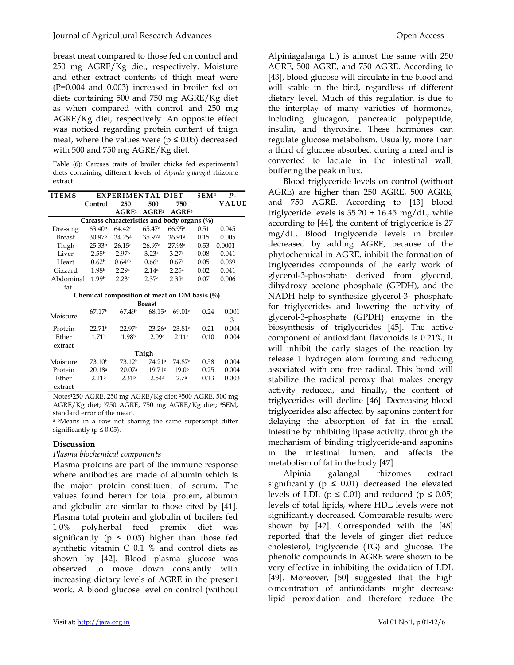breast meat compared to those fed on control and 250 mg AGRE/Kg diet, respectively. Moisture and ether extract contents of thigh meat were (P=0.004 and 0.003) increased in broiler fed on diets containing 500 and 750 mg AGRE/Kg diet as when compared with control and 250 mg AGRE/Kg diet, respectively. An opposite effect was noticed regarding protein content of thigh meat, where the values were ( $p \le 0.05$ ) decreased with 500 and 750 mg AGRE/Kg diet.

Table (6): Carcass traits of broiler chicks fed experimental diets containing different levels of Alpinia galangal rhizome extract

| <b>ITEMS</b>                                   | EXPERIMENTAL DIET  |                      |                    | 5EM <sup>4</sup>                                        | Р-   |        |  |  |
|------------------------------------------------|--------------------|----------------------|--------------------|---------------------------------------------------------|------|--------|--|--|
|                                                | Control            | 250                  | 500                | 750                                                     |      | VALUE  |  |  |
|                                                |                    | AGRE <sup>1</sup>    | AGRE <sup>2</sup>  | AGRE <sup>3</sup>                                       |      |        |  |  |
| Carcass characteristics and body organs $(\%)$ |                    |                      |                    |                                                         |      |        |  |  |
| Dressing                                       | 63.40 <sup>b</sup> | 64.42a               | 65.47 <sup>a</sup> | 66.95a                                                  | 0.51 | 0.045  |  |  |
| <b>Breast</b>                                  | 30.97 <sup>b</sup> | 34.25a               | 35.97 <sup>a</sup> | 36.91a                                                  | 0.15 | 0.005  |  |  |
| Thigh                                          | 25.33 <sup>b</sup> | 26.15a               | 26.97a             | 27.98 <sup>a</sup>                                      | 0.53 | 0.0001 |  |  |
| Liver                                          | 2.55 <sup>b</sup>  | 2.97 <sup>b</sup>    | 3.23a              | 3.27a                                                   | 0.08 | 0.041  |  |  |
| Heart                                          | 0.62 <sup>b</sup>  | $0.64$ <sup>ab</sup> | 0.66a              | 0.67a                                                   | 0.05 | 0.039  |  |  |
| Gizzard                                        | 1.98 <sup>b</sup>  | 2.29a                | 2.14 <sup>a</sup>  | 2.25 <sup>a</sup>                                       | 0.02 | 0.041  |  |  |
| Abdominal                                      | 1.99b              | 2.23a                | 2.37a              | 2.39a                                                   | 0.07 | 0.006  |  |  |
| fat                                            |                    |                      |                    |                                                         |      |        |  |  |
|                                                |                    |                      |                    | Chemical composition of meat on DM basis $\binom{0}{0}$ |      |        |  |  |
|                                                |                    |                      | <b>Breast</b>      |                                                         |      |        |  |  |
| Moisture                                       | 67.17 <sup>b</sup> | 6749b                | 68.15a             | 69.01a                                                  | 0.24 | 0.001  |  |  |
|                                                |                    |                      |                    |                                                         |      | 3      |  |  |
| Protein                                        | 22.71 <sup>b</sup> | 22.97 <sup>b</sup>   | 23.26 <sup>a</sup> | 23.81a                                                  | 0.21 | 0.004  |  |  |
| Ether                                          | 1.71 <sup>b</sup>  | 1.98b                | 2.09a              | 2.11a                                                   | 0.10 | 0.004  |  |  |
| extract                                        |                    |                      |                    |                                                         |      |        |  |  |
| <b>Thigh</b>                                   |                    |                      |                    |                                                         |      |        |  |  |
| Moisture                                       | 73.10 <sup>b</sup> | 73.12 <sup>b</sup>   | 74.21ª             | 74.87ª                                                  | 0.58 | 0.004  |  |  |
| Protein                                        | 20.18a             | 20.07a               | 19.71 <sup>b</sup> | 19.0 <sup>b</sup>                                       | 0.25 | 0.004  |  |  |
| Ether                                          | 2.11 <sup>b</sup>  | 2.31 <sup>b</sup>    | 2.54a              | 2.7a                                                    | 0.13 | 0.003  |  |  |
| extract                                        |                    |                      |                    |                                                         |      |        |  |  |

Notes1250 AGRE, 250 mg AGRE/Kg diet; 2500 AGRE, 500 mg AGRE/Kg diet; 3750 AGRE, 750 mg AGRE/Kg diet; 4SEM, standard error of the mean.

a−bMeans in a row not sharing the same superscript differ significantly ( $p \leq 0.05$ ).

# Discussion

Plasma biochemical components

Plasma proteins are part of the immune response where antibodies are made of albumin which is the major protein constituent of serum. The values found herein for total protein, albumin and globulin are similar to those cited by [41]. Plasma total protein and globulin of broilers fed 1.0% polyherbal feed premix diet was significantly ( $p \leq 0.05$ ) higher than those fed synthetic vitamin C 0.1 % and control diets as shown by [42]. Blood plasma glucose was observed to move down constantly with increasing dietary levels of AGRE in the present work. A blood glucose level on control (without

Alpiniagalanga L.) is almost the same with 250 AGRE, 500 AGRE, and 750 AGRE. According to [43], blood glucose will circulate in the blood and will stable in the bird, regardless of different dietary level. Much of this regulation is due to the interplay of many varieties of hormones, including glucagon, pancreatic polypeptide, insulin, and thyroxine. These hormones can regulate glucose metabolism. Usually, more than a third of glucose absorbed during a meal and is converted to lactate in the intestinal wall, buffering the peak influx.

Blood triglyceride levels on control (without AGRE) are higher than 250 AGRE, 500 AGRE, and 750 AGRE. According to [43] blood triglyceride levels is  $35.20 + 16.45$  mg/dL, while according to [44], the content of triglyceride is 27 mg/dL. Blood triglyceride levels in broiler decreased by adding AGRE, because of the phytochemical in AGRE, inhibit the formation of triglycerides compounds of the early work of glycerol-3-phosphate derived from glycerol, dihydroxy acetone phosphate (GPDH), and the NADH help to synthesize glycerol-3- phosphate for triglycerides and lowering the activity of glycerol-3-phosphate (GPDH) enzyme in the biosynthesis of triglycerides [45]. The active component of antioxidant flavonoids is 0.21%; it will inhibit the early stages of the reaction by release 1 hydrogen atom forming and reducing associated with one free radical. This bond will stabilize the radical peroxy that makes energy activity reduced, and finally, the content of triglycerides will decline [46]. Decreasing blood triglycerides also affected by saponins content for delaying the absorption of fat in the small intestine by inhibiting lipase activity, through the mechanism of binding triglyceride-and saponins in the intestinal lumen, and affects the metabolism of fat in the body [47].

Alpinia galangal rhizomes extract significantly ( $p \leq 0.01$ ) decreased the elevated levels of LDL ( $p \le 0.01$ ) and reduced ( $p \le 0.05$ ) levels of total lipids, where HDL levels were not significantly decreased. Comparable results were shown by [42]. Corresponded with the [48] reported that the levels of ginger diet reduce cholesterol, triglyceride (TG) and glucose. The phenolic compounds in AGRE were shown to be very effective in inhibiting the oxidation of LDL [49]. Moreover, [50] suggested that the high concentration of antioxidants might decrease lipid peroxidation and therefore reduce the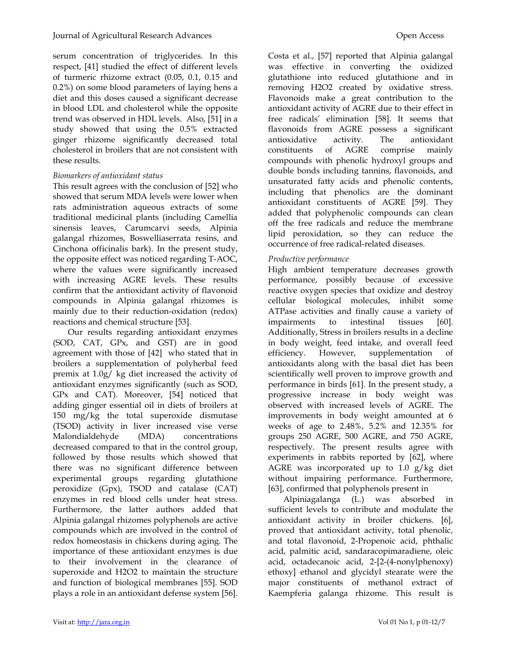serum concentration of triglycerides. In this respect, [41] studied the effect of different levels of turmeric rhizome extract (0.05, 0.1, 0.15 and 0.2%) on some blood parameters of laying hens a diet and this doses caused a significant decrease in blood LDL and cholesterol while the opposite trend was observed in HDL levels. Also, [51] in a study showed that using the 0.5% extracted ginger rhizome significantly decreased total cholesterol in broilers that are not consistent with these results.

## Biomarkers of antioxidant status

This result agrees with the conclusion of [52] who showed that serum MDA levels were lower when rats administration aqueous extracts of some traditional medicinal plants (including Camellia sinensis leaves, Carumcarvi seeds, Alpinia galangal rhizomes, Boswelliaserrata resins, and Cinchona officinalis bark). In the present study, the opposite effect was noticed regarding T-AOC, where the values were significantly increased with increasing AGRE levels. These results confirm that the antioxidant activity of flavonoid compounds in Alpinia galangal rhizomes is mainly due to their reduction-oxidation (redox) reactions and chemical structure [53].

Our results regarding antioxidant enzymes (SOD, CAT, GPx, and GST) are in good agreement with those of [42] who stated that in broilers a supplementation of polyherbal feed premix at 1.0g/ kg diet increased the activity of antioxidant enzymes significantly (such as SOD, GPx and CAT). Moreover, [54] noticed that adding ginger essential oil in diets of broilers at 150 mg/kg the total superoxide dismutase (TSOD) activity in liver increased vise verse Malondialdehyde (MDA) concentrations decreased compared to that in the control group, followed by those results which showed that there was no significant difference between experimental groups regarding glutathione peroxidize (Gpx), TSOD and catalase (CAT) enzymes in red blood cells under heat stress. Furthermore, the latter authors added that Alpinia galangal rhizomes polyphenols are active compounds which are involved in the control of redox homeostasis in chickens during aging. The importance of these antioxidant enzymes is due to their involvement in the clearance of superoxide and H2O2 to maintain the structure and function of biological membranes [55]. SOD plays a role in an antioxidant defense system [56].

Costa et al., [57] reported that Alpinia galangal was effective in converting the oxidized glutathione into reduced glutathione and in removing H2O2 created by oxidative stress. Flavonoids make a great contribution to the antioxidant activity of AGRE due to their effect in free radicals' elimination [58]. It seems that flavonoids from AGRE possess a significant antioxidative activity. The antioxidant constituents of AGRE comprise mainly compounds with phenolic hydroxyl groups and double bonds including tannins, flavonoids, and unsaturated fatty acids and phenolic contents, including that phenolics are the dominant antioxidant constituents of AGRE [59]. They added that polyphenolic compounds can clean off the free radicals and reduce the membrane lipid peroxidation, so they can reduce the occurrence of free radical-related diseases.

# Productive performance

High ambient temperature decreases growth performance, possibly because of excessive reactive oxygen species that oxidize and destroy cellular biological molecules, inhibit some ATPase activities and finally cause a variety of impairments to intestinal tissues [60]. Additionally, Stress in broilers results in a decline in body weight, feed intake, and overall feed efficiency. However, supplementation of antioxidants along with the basal diet has been scientifically well proven to improve growth and performance in birds [61]. In the present study, a progressive increase in body weight was observed with increased levels of AGRE. The improvements in body weight amounted at 6 weeks of age to 2.48%, 5.2% and 12.35% for groups 250 AGRE, 500 AGRE, and 750 AGRE, respectively. The present results agree with experiments in rabbits reported by [62], where AGRE was incorporated up to 1.0 g/kg diet without impairing performance. Furthermore, [63], confirmed that polyphenols present in

Alpiniagalanga (L.) was absorbed in sufficient levels to contribute and modulate the antioxidant activity in broiler chickens. [6], proved that antioxidant activity, total phenolic, and total flavonoid, 2-Propenoic acid, phthalic acid, palmitic acid, sandaracopimaradiene, oleic acid, octadecanoic acid, 2-[2-(4-nonylphenoxy) ethoxy] ethanol and glycidyl stearate were the major constituents of methanol extract of Kaempferia galanga rhizome. This result is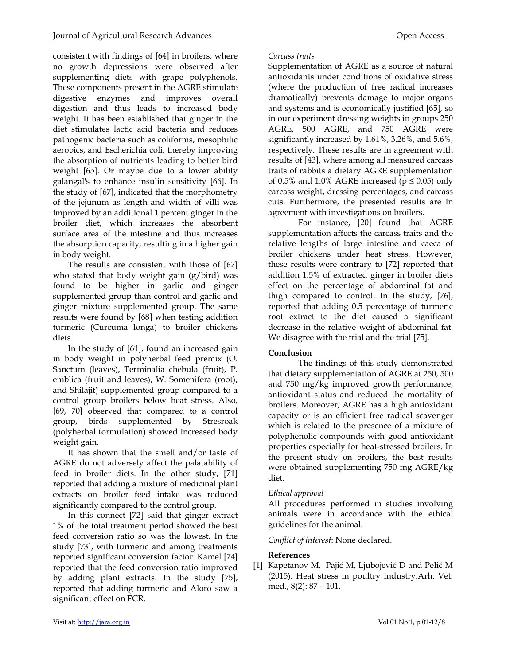consistent with findings of [64] in broilers, where no growth depressions were observed after supplementing diets with grape polyphenols. These components present in the AGRE stimulate digestive enzymes and improves overall digestion and thus leads to increased body weight. It has been established that ginger in the diet stimulates lactic acid bacteria and reduces pathogenic bacteria such as coliforms, mesophilic aerobics, and Escherichia coli, thereby improving the absorption of nutrients leading to better bird weight [65]. Or maybe due to a lower ability galangal's to enhance insulin sensitivity [66]. In the study of [67], indicated that the morphometry of the jejunum as length and width of villi was improved by an additional 1 percent ginger in the broiler diet, which increases the absorbent surface area of the intestine and thus increases the absorption capacity, resulting in a higher gain in body weight.

The results are consistent with those of [67] who stated that body weight gain (g/bird) was found to be higher in garlic and ginger supplemented group than control and garlic and ginger mixture supplemented group. The same results were found by [68] when testing addition turmeric (Curcuma longa) to broiler chickens diets.

In the study of [61], found an increased gain in body weight in polyherbal feed premix (O. Sanctum (leaves), Terminalia chebula (fruit), P. emblica (fruit and leaves), W. Somenifera (root), and Shilajit) supplemented group compared to a control group broilers below heat stress. Also, [69, 70] observed that compared to a control group, birds supplemented by Stresroak (polyherbal formulation) showed increased body weight gain.

It has shown that the smell and/or taste of AGRE do not adversely affect the palatability of feed in broiler diets. In the other study, [71] reported that adding a mixture of medicinal plant extracts on broiler feed intake was reduced significantly compared to the control group.

In this connect [72] said that ginger extract 1% of the total treatment period showed the best feed conversion ratio so was the lowest. In the study [73], with turmeric and among treatments reported significant conversion factor. Kamel [74] reported that the feed conversion ratio improved by adding plant extracts. In the study [75], reported that adding turmeric and Aloro saw a significant effect on FCR.

## Carcass traits

Supplementation of AGRE as a source of natural antioxidants under conditions of oxidative stress (where the production of free radical increases dramatically) prevents damage to major organs and systems and is economically justified [65], so in our experiment dressing weights in groups 250 AGRE, 500 AGRE, and 750 AGRE were significantly increased by 1.61%, 3.26%, and 5.6%, respectively. These results are in agreement with results of [43], where among all measured carcass traits of rabbits a dietary AGRE supplementation of 0.5% and 1.0% AGRE increased ( $p \le 0.05$ ) only carcass weight, dressing percentages, and carcass cuts. Furthermore, the presented results are in agreement with investigations on broilers.

For instance, [20] found that AGRE supplementation affects the carcass traits and the relative lengths of large intestine and caeca of broiler chickens under heat stress. However, these results were contrary to [72] reported that addition 1.5% of extracted ginger in broiler diets effect on the percentage of abdominal fat and thigh compared to control. In the study, [76], reported that adding 0.5 percentage of turmeric root extract to the diet caused a significant decrease in the relative weight of abdominal fat. We disagree with the trial and the trial [75].

# Conclusion

The findings of this study demonstrated that dietary supplementation of AGRE at 250, 500 and 750 mg/kg improved growth performance, antioxidant status and reduced the mortality of broilers. Moreover, AGRE has a high antioxidant capacity or is an efficient free radical scavenger which is related to the presence of a mixture of polyphenolic compounds with good antioxidant properties especially for heat-stressed broilers. In the present study on broilers, the best results were obtained supplementing 750 mg AGRE/kg diet.

# Ethical approval

All procedures performed in studies involving animals were in accordance with the ethical guidelines for the animal.

Conflict of interest: None declared.

# References

[1] Kapetanov M, Pajić M, Ljubojević D and Pelić M (2015). Heat stress in poultry industry.Arh. Vet. med., 8(2): 87 – 101.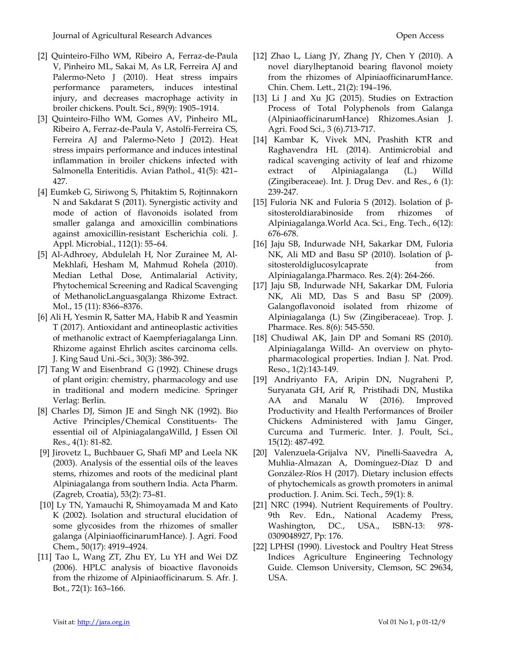- [2] Quinteiro-Filho WM, Ribeiro A, Ferraz-de-Paula V, Pinheiro ML, Sakai M, As LR, Ferreira AJ and Palermo-Neto J (2010). Heat stress impairs performance parameters, induces intestinal injury, and decreases macrophage activity in broiler chickens. Poult. Sci., 89(9): 1905–1914.
- [3] Quinteiro-Filho WM, Gomes AV, Pinheiro ML, Ribeiro A, Ferraz-de-Paula V, Astolfi-Ferreira CS, Ferreira AJ and Palermo-Neto J (2012). Heat stress impairs performance and induces intestinal inflammation in broiler chickens infected with Salmonella Enteritidis. Avian Pathol., 41(5): 421– 427.
- [4] Eumkeb G, Siriwong S, Phitaktim S, Rojtinnakorn N and Sakdarat S (2011). Synergistic activity and mode of action of flavonoids isolated from smaller galanga and amoxicillin combinations against amoxicillin-resistant Escherichia coli. J. Appl. Microbial., 112(1): 55–64.
- [5] Al-Adhroey, Abdulelah H, Nor Zurainee M, Al-Mekhlafi, Hesham M, Mahmud Rohela (2010). Median Lethal Dose, Antimalarial Activity, Phytochemical Screening and Radical Scavenging of MethanolicLanguasgalanga Rhizome Extract. Mol., 15 (11): 8366–8376.
- [6] Ali H, Yesmin R, Satter MA, Habib R and Yeasmin T (2017). Antioxidant and antineoplastic activities of methanolic extract of Kaempferiagalanga Linn. Rhizome against Ehrlich ascites carcinoma cells. J. King Saud Uni.-Sci., 30(3): 386-392.
- [7] Tang W and Eisenbrand G (1992). Chinese drugs of plant origin: chemistry, pharmacology and use in traditional and modern medicine. Springer Verlag: Berlin.
- [8] Charles DJ, Simon JE and Singh NK (1992). Bio Active Principles/Chemical Constituents- The essential oil of AlpiniagalangaWilld, J Essen Oil Res., 4(1): 81-82.
- [9] Jirovetz L, Buchbauer G, Shafi MP and Leela NK (2003). Analysis of the essential oils of the leaves stems, rhizomes and roots of the medicinal plant Alpiniagalanga from southern India. Acta Pharm. (Zagreb, Croatia), 53(2): 73–81.
- [10] Ly TN, Yamauchi R, Shimoyamada M and Kato K (2002). Isolation and structural elucidation of some glycosides from the rhizomes of smaller galanga (AlpiniaofficinarumHance). J. Agri. Food Chem., 50(17): 4919–4924.
- [11] Tao L, Wang ZT, Zhu EY, Lu YH and Wei DZ (2006). HPLC analysis of bioactive flavonoids from the rhizome of Alpiniaofficinarum. S. Afr. J. Bot., 72(1): 163–166.
- [12] Zhao L, Liang JY, Zhang JY, Chen Y (2010). A novel diarylheptanoid bearing flavonol moiety from the rhizomes of AlpiniaofficinarumHance. Chin. Chem. Lett., 21(2): 194–196.
- [13] Li J and Xu JG (2015). Studies on Extraction Process of Total Polyphenols from Galanga (AlpiniaofficinarumHance) Rhizomes.Asian J. Agri. Food Sci., 3 (6).713-717.
- [14] Kambar K, Vivek MN, Prashith KTR and Raghavendra HL (2014). Antimicrobial and radical scavenging activity of leaf and rhizome extract of Alpiniagalanga (L.) Willd (Zingiberaceae). Int. J. Drug Dev. and Res., 6 (1): 239-247.
- [15] Fuloria NK and Fuloria S (2012). Isolation of βsitosteroldiarabinoside from rhizomes of Alpiniagalanga.World Aca. Sci., Eng. Tech., 6(12): 676-678.
- [16] Jaju SB, Indurwade NH, Sakarkar DM, Fuloria NK, Ali MD and Basu SP (2010). Isolation of βsitosteroldiglucosylcaprate from Alpiniagalanga.Pharmaco. Res. 2(4): 264-266.
- [17] Jaju SB, Indurwade NH, Sakarkar DM, Fuloria NK, Ali MD, Das S and Basu SP (2009). Galangoflavonoid isolated from rhizome of Alpiniagalanga (L) Sw (Zingiberaceae). Trop. J. Pharmace. Res. 8(6): 545-550.
- [18] Chudiwal AK, Jain DP and Somani RS (2010). Alpiniagalanga Willd- An overview on phytopharmacological properties. Indian J. Nat. Prod. Reso., 1(2):143-149.
- [19] Andriyanto FA, Aripin DN, Nugraheni P, Suryanata GH, Arif R, Pristihadi DN, Mustika AA and Manalu W (2016). Improved Productivity and Health Performances of Broiler Chickens Administered with Jamu Ginger, Curcuma and Turmeric. Inter. J. Poult, Sci., 15(12): 487-492.
- [20] Valenzuela-Grijalva NV, Pinelli-Saavedra A, Muhlia-Almazan A, Domínguez-Díaz D and González-Ríos H (2017). Dietary inclusion effects of phytochemicals as growth promoters in animal production. J. Anim. Sci. Tech., 59(1): 8.
- [21] NRC (1994). Nutrient Requirements of Poultry. 9th Rev. Edn., National Academy Press, Washington, DC., USA., ISBN-13: 978- 0309048927, Pp: 176.
- [22] LPHSI (1990). Livestock and Poultry Heat Stress Indices Agriculture Engineering Technology Guide. Clemson University, Clemson, SC 29634, USA.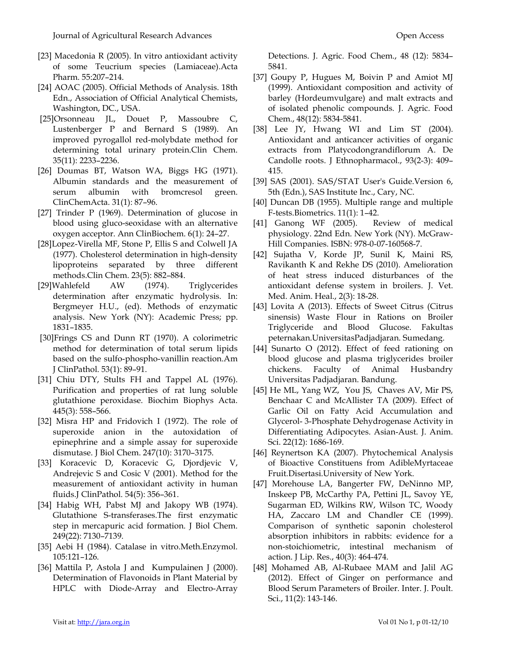- [23] Macedonia R (2005). In vitro antioxidant activity of some Teucrium species (Lamiaceae).Acta Pharm. 55:207–214.
- [24] AOAC (2005). Official Methods of Analysis. 18th Edn., Association of Official Analytical Chemists, Washington, DC., USA.
- [25]Orsonneau JL, Douet P, Massoubre C, Lustenberger P and Bernard S (1989). An improved pyrogallol red-molybdate method for determining total urinary protein.Clin Chem. 35(11): 2233–2236.
- [26] Doumas BT, Watson WA, Biggs HG (1971). Albumin standards and the measurement of serum albumin with bromcresol green. ClinChemActa. 31(1): 87–96.
- [27] Trinder P (1969). Determination of glucose in blood using gluco-seoxidase with an alternative oxygen acceptor. Ann ClinBiochem. 6(1): 24–27.
- [28]Lopez-Virella MF, Stone P, Ellis S and Colwell JA (1977). Cholesterol determination in high-density lipoproteins separated by three different methods.Clin Chem. 23(5): 882–884.
- [29]Wahlefeld AW (1974). Triglycerides determination after enzymatic hydrolysis. In: Bergmeyer H.U., (ed). Methods of enzymatic analysis. New York (NY): Academic Press; pp. 1831–1835.
- [30]Frings CS and Dunn RT (1970). A colorimetric method for determination of total serum lipids based on the sulfo-phospho-vanillin reaction.Am J ClinPathol. 53(1): 89–91.
- [31] Chiu DTY, Stults FH and Tappel AL (1976). Purification and properties of rat lung soluble glutathione peroxidase. Biochim Biophys Acta. 445(3): 558–566.
- [32] Misra HP and Fridovich I (1972). The role of superoxide anion in the autoxidation of epinephrine and a simple assay for superoxide dismutase. J Biol Chem. 247(10): 3170–3175.
- [33] Koracevic D, Koracevic G, Djordjevic V, Andrejevic S and Cosic V (2001). Method for the measurement of antioxidant activity in human fluids.J ClinPathol. 54(5): 356–361.
- [34] Habig WH, Pabst MJ and Jakopy WB (1974). Glutathione S-transferases.The first enzymatic step in mercapuric acid formation. J Biol Chem. 249(22): 7130–7139.
- [35] Aebi H (1984). Catalase in vitro.Meth.Enzymol. 105:121–126.
- [36] Mattila P, Astola J and Kumpulainen J (2000). Determination of Flavonoids in Plant Material by HPLC with Diode-Array and Electro-Array

Detections. J. Agric. Food Chem., 48 (12): 5834– 5841.

- [37] Goupy P, Hugues M, Boivin P and Amiot MJ (1999). Antioxidant composition and activity of barley (Hordeumvulgare) and malt extracts and of isolated phenolic compounds. J. Agric. Food Chem., 48(12): 5834-5841.
- [38] Lee JY, Hwang WI and Lim ST (2004). Antioxidant and anticancer activities of organic extracts from Platycodongrandiflorum A. De Candolle roots. J Ethnopharmacol., 93(2-3): 409– 415.
- [39] SAS (2001). SAS/STAT User's Guide.Version 6, 5th (Edn.), SAS Institute Inc., Cary, NC.
- [40] Duncan DB (1955). Multiple range and multiple F-tests.Biometrics. 11(1): 1–42.
- [41] Ganong WF (2005). Review of medical physiology. 22nd Edn. New York (NY). McGraw-Hill Companies. ISBN: 978-0-07-160568-7.
- [42] Sujatha V, Korde JP, Sunil K, Maini RS, Ravikanth K and Rekhe DS (2010). Amelioration of heat stress induced disturbances of the antioxidant defense system in broilers. J. Vet. Med. Anim. Heal., 2(3): 18-28.
- [43] Lovita A (2013). Effects of Sweet Citrus (Citrus sinensis) Waste Flour in Rations on Broiler Triglyceride and Blood Glucose. Fakultas peternakan.UniversitasPadjadjaran. Sumedang.
- [44] Sunarto O (2012). Effect of feed rationing on blood glucose and plasma triglycerides broiler chickens. Faculty of Animal Husbandry Universitas Padjadjaran. Bandung.
- [45] He ML, Yang WZ, You JS, Chaves AV, Mir PS, Benchaar C and McAllister TA (2009). Effect of Garlic Oil on Fatty Acid Accumulation and Glycerol- 3-Phosphate Dehydrogenase Activity in Differentiating Adipocytes. Asian-Aust. J. Anim. Sci. 22(12): 1686-169.
- [46] Reynertson KA (2007). Phytochemical Analysis of Bioactive Constituens from AdibleMyrtaceae Fruit.Disertasi.University of New York.
- [47] Morehouse LA, Bangerter FW, DeNinno MP, Inskeep PB, McCarthy PA, Pettini JL, Savoy YE, Sugarman ED, Wilkins RW, Wilson TC, Woody HA, Zaccaro LM and Chandler CE (1999). Comparison of synthetic saponin cholesterol absorption inhibitors in rabbits: evidence for a non-stoichiometric, intestinal mechanism of action. J Lip. Res., 40(3): 464-474.
- [48] Mohamed AB, Al-Rubaee MAM and Jalil AG (2012). Effect of Ginger on performance and Blood Serum Parameters of Broiler. Inter. J. Poult. Sci., 11(2): 143-146.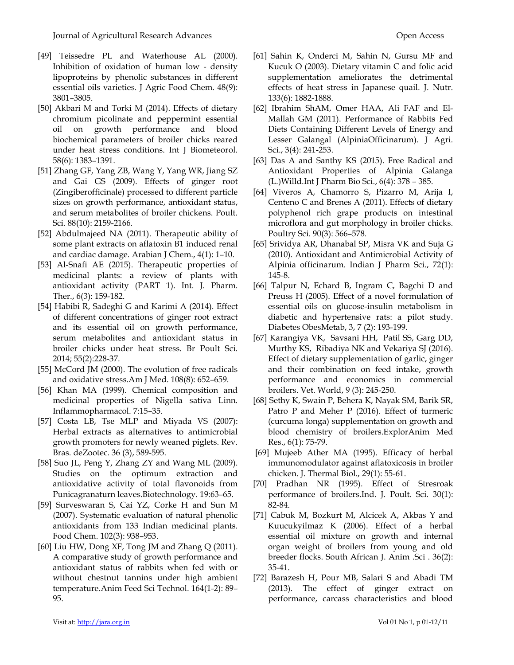- [49] Teissedre PL and Waterhouse AL (2000). Inhibition of oxidation of human low - density lipoproteins by phenolic substances in different essential oils varieties. J Agric Food Chem. 48(9): 3801–3805.
- [50] Akbari M and Torki M (2014). Effects of dietary chromium picolinate and peppermint essential oil on growth performance and blood biochemical parameters of broiler chicks reared under heat stress conditions. Int J Biometeorol. 58(6): 1383–1391.
- [51] Zhang GF, Yang ZB, Wang Y, Yang WR, Jiang SZ and Gai GS (2009). Effects of ginger root (Zingiberofficinale) processed to different particle sizes on growth performance, antioxidant status, and serum metabolites of broiler chickens. Poult. Sci. 88(10): 2159-2166.
- [52] Abdulmajeed NA (2011). Therapeutic ability of some plant extracts on aflatoxin B1 induced renal and cardiac damage. Arabian J Chem., 4(1): 1–10.
- [53] Al-Snafi AE (2015). Therapeutic properties of medicinal plants: a review of plants with antioxidant activity (PART 1). Int. J. Pharm. Ther., 6(3): 159-182.
- [54] Habibi R, Sadeghi G and Karimi A (2014). Effect of different concentrations of ginger root extract and its essential oil on growth performance, serum metabolites and antioxidant status in broiler chicks under heat stress. Br Poult Sci. 2014; 55(2):228-37.
- [55] McCord JM (2000). The evolution of free radicals and oxidative stress.Am J Med. 108(8): 652–659.
- [56] Khan MA (1999). Chemical composition and medicinal properties of Nigella sativa Linn. Inflammopharmacol. 7:15–35.
- [57] Costa LB, Tse MLP and Miyada VS (2007): Herbal extracts as alternatives to antimicrobial growth promoters for newly weaned piglets. Rev. Bras. deZootec. 36 (3), 589-595.
- [58] Suo JL, Peng Y, Zhang ZY and Wang ML (2009). Studies on the optimum extraction and antioxidative activity of total flavonoids from Punicagranaturn leaves.Biotechnology. 19:63–65.
- [59] Surveswaran S, Cai YZ, Corke H and Sun M (2007). Systematic evaluation of natural phenolic antioxidants from 133 Indian medicinal plants. Food Chem. 102(3): 938–953.
- [60] Liu HW, Dong XF, Tong JM and Zhang Q (2011). A comparative study of growth performance and antioxidant status of rabbits when fed with or without chestnut tannins under high ambient temperature.Anim Feed Sci Technol. 164(1-2): 89– 95.
- [61] Sahin K, Onderci M, Sahin N, Gursu MF and Kucuk O (2003). Dietary vitamin C and folic acid supplementation ameliorates the detrimental effects of heat stress in Japanese quail. J. Nutr. 133(6): 1882-1888.
- [62] Ibrahim ShAM, Omer HAA, Ali FAF and El-Mallah GM (2011). Performance of Rabbits Fed Diets Containing Different Levels of Energy and Lesser Galangal (AlpiniaOfficinarum). J Agri. Sci., 3(4): 241-253.
- [63] Das A and Santhy KS (2015). Free Radical and Antioxidant Properties of Alpinia Galanga (L.)Willd.Int J Pharm Bio Sci., 6(4): 378 – 385.
- [64] Viveros A, Chamorro S, Pizarro M, Arija I, Centeno C and Brenes A (2011). Effects of dietary polyphenol rich grape products on intestinal microflora and gut morphology in broiler chicks. Poultry Sci. 90(3): 566–578.
- [65] Srividya AR, Dhanabal SP, Misra VK and Suja G (2010). Antioxidant and Antimicrobial Activity of Alpinia officinarum. Indian J Pharm Sci., 72(1): 145-8.
- [66] Talpur N, Echard B, Ingram C, Bagchi D and Preuss H (2005). Effect of a novel formulation of essential oils on glucose-insulin metabolism in diabetic and hypertensive rats: a pilot study. Diabetes ObesMetab, 3, 7 (2): 193-199.
- [67] Karangiya VK, Savsani HH, Patil SS, Garg DD, Murthy KS, Ribadiya NK and Vekariya SJ (2016). Effect of dietary supplementation of garlic, ginger and their combination on feed intake, growth performance and economics in commercial broilers. Vet. World, 9 (3): 245-250.
- [68] Sethy K, Swain P, Behera K, Nayak SM, Barik SR, Patro P and Meher P (2016). Effect of turmeric (curcuma longa) supplementation on growth and blood chemistry of broilers.ExplorAnim Med Res., 6(1): 75-79.
- [69] Mujeeb Ather MA (1995). Efficacy of herbal immunomodulator against aflatoxicosis in broiler chicken. J. Thermal Biol., 29(1): 55-61.
- [70] Pradhan NR (1995). Effect of Stresroak performance of broilers.Ind. J. Poult. Sci. 30(1): 82-84.
- [71] Cabuk M, Bozkurt M, Alcicek A, Akbas Y and Kuucukyilmaz K (2006). Effect of a herbal essential oil mixture on growth and internal organ weight of broilers from young and old breeder flocks. South African J. Anim .Sci . 36(2): 35-41.
- [72] Barazesh H, Pour MB, Salari S and Abadi TM (2013). The effect of ginger extract on performance, carcass characteristics and blood